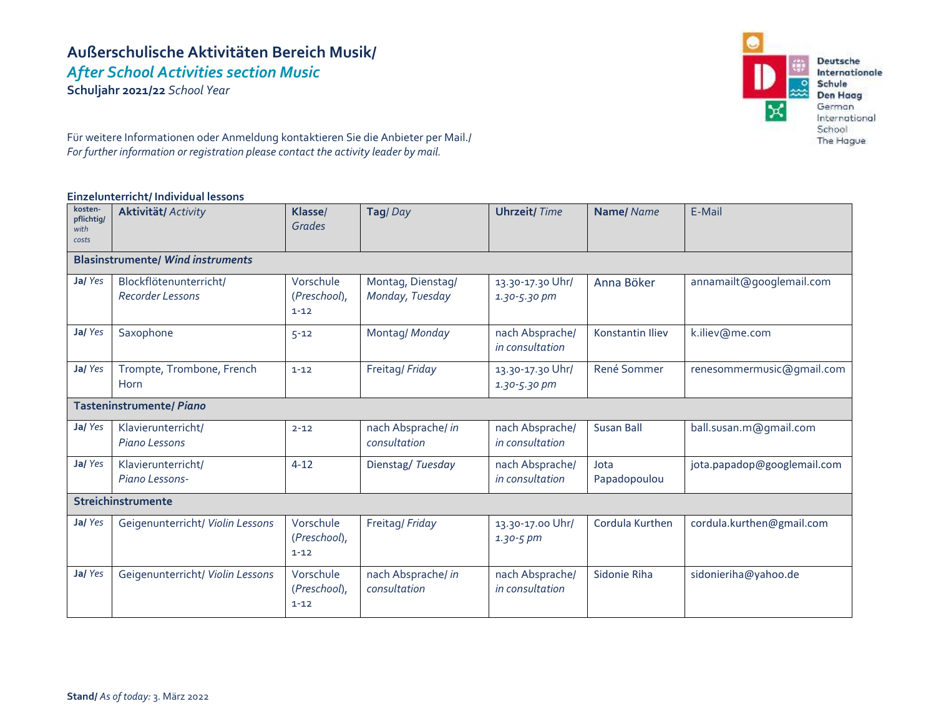# **Außerschulische Aktivitäten Bereich Musik/** *After School Activities section Music*

**Schuljahr 2021/22** *School Year*



Für weitere Informationen oder Anmeldung kontaktieren Sie die Anbieter per Mail./ *For further information or registration please contact the activity leader by mail.*

#### **Einzelunterricht/ Individual lessons**

| kosten-<br>pflichtig/<br>with<br>costs   | <b>Aktivität/ Activity</b>                 | Klasse/<br>Grades                     | Tag/Day                              | <b>Uhrzeit/Time</b>                  | Name/Name            | E-Mail                      |  |  |
|------------------------------------------|--------------------------------------------|---------------------------------------|--------------------------------------|--------------------------------------|----------------------|-----------------------------|--|--|
| <b>Blasinstrumente/ Wind instruments</b> |                                            |                                       |                                      |                                      |                      |                             |  |  |
| Ja/Yes                                   | Blockflötenunterricht/<br>Recorder Lessons | Vorschule<br>(Preschool),<br>$1 - 12$ | Montag, Dienstag/<br>Monday, Tuesday | 13.30-17.30 Uhr/<br>$1.30 - 5.30$ pm | Anna Böker           | annamailt@googlemail.com    |  |  |
| Ja/Yes                                   | Saxophone                                  | $5 - 12$                              | Montag/ Monday                       | nach Absprache/<br>in consultation   | Konstantin Iliev     | k.iliev@me.com              |  |  |
| Ja/Yes                                   | Trompte, Trombone, French<br>Horn          | $1 - 12$                              | Freitag/Friday                       | 13.30-17.30 Uhr/<br>$1.30 - 5.30$ pm | René Sommer          | renesommermusic@gmail.com   |  |  |
| Tasteninstrumente/ Piano                 |                                            |                                       |                                      |                                      |                      |                             |  |  |
| Ja/Yes                                   | Klavierunterricht/<br>Piano Lessons        | $2 - 12$                              | nach Absprache/ in<br>consultation   | nach Absprache/<br>in consultation   | <b>Susan Ball</b>    | ball.susan.m@gmail.com      |  |  |
| Ja/Yes                                   | Klavierunterricht/<br>Piano Lessons-       | $4 - 12$                              | Dienstag/Tuesday                     | nach Absprache/<br>in consultation   | Jota<br>Papadopoulou | jota.papadop@googlemail.com |  |  |
| Streichinstrumente                       |                                            |                                       |                                      |                                      |                      |                             |  |  |
| Ja/Yes                                   | Geigenunterricht/ Violin Lessons           | Vorschule<br>(Preschool),<br>$1 - 12$ | Freitag/Friday                       | 13.30-17.00 Uhr/<br>$1.30 - 5 pm$    | Cordula Kurthen      | cordula.kurthen@gmail.com   |  |  |
| Ja/Yes                                   | Geigenunterricht/ Violin Lessons           | Vorschule<br>(Preschool),<br>$1 - 12$ | nach Absprache/ in<br>consultation   | nach Absprache/<br>in consultation   | Sidonie Riha         | sidonieriha@yahoo.de        |  |  |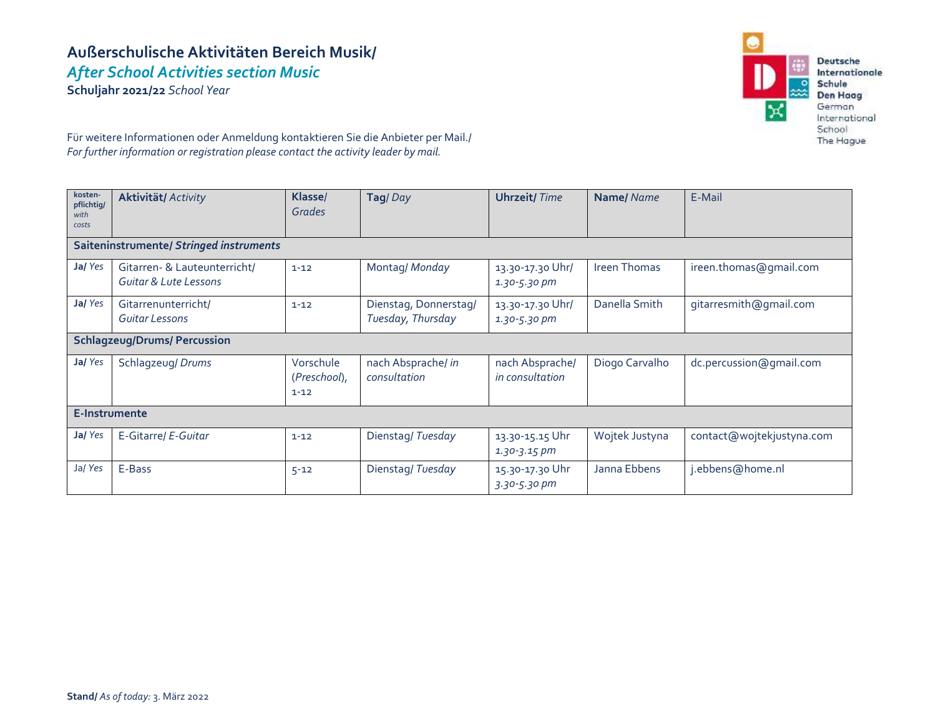# **Außerschulische Aktivitäten Bereich Musik/** *After School Activities section Music*

**Schuljahr 2021/22** *School Year*



Für weitere Informationen oder Anmeldung kontaktieren Sie die Anbieter per Mail./ *For further information or registration please contact the activity leader by mail.*

| kosten-<br>pflichtig/<br>with<br>costs  | <b>Aktivität/ Activity</b>                                       | Klasse/<br>Grades                     | Tag/Day                                    | <b>Uhrzeit/Time</b>                  | <b>Name/</b> Name | E-Mail                    |  |  |
|-----------------------------------------|------------------------------------------------------------------|---------------------------------------|--------------------------------------------|--------------------------------------|-------------------|---------------------------|--|--|
| Saiteninstrumente/ Stringed instruments |                                                                  |                                       |                                            |                                      |                   |                           |  |  |
| Ja/Yes                                  | Gitarren- & Lauteunterricht/<br><b>Guitar &amp; Lute Lessons</b> | $1 - 12$                              | Montag/ Monday                             | 13.30-17.30 Uhr/<br>$1.30 - 5.30$ pm | Ireen Thomas      | ireen.thomas@gmail.com    |  |  |
| Ja/Yes                                  | Gitarrenunterricht/<br>Guitar Lessons                            | $1 - 12$                              | Dienstag, Donnerstag/<br>Tuesday, Thursday | 13.30-17.30 Uhr/<br>1.30-5.30 pm     | Danella Smith     | gitarresmith@gmail.com    |  |  |
| <b>Schlagzeug/Drums/ Percussion</b>     |                                                                  |                                       |                                            |                                      |                   |                           |  |  |
| Ja/Yes                                  | Schlagzeug/ Drums                                                | Vorschule<br>(Preschool),<br>$1 - 12$ | nach Absprache/ in<br>consultation         | nach Absprache/<br>in consultation   | Diogo Carvalho    | dc.percussion@gmail.com   |  |  |
| E-Instrumente                           |                                                                  |                                       |                                            |                                      |                   |                           |  |  |
| Ja/Yes                                  | E-Gitarre/ E-Guitar                                              | $1 - 12$                              | Dienstag/Tuesday                           | 13.30-15.15 Uhr<br>$1.30 - 3.15$ pm  | Wojtek Justyna    | contact@wojtekjustyna.com |  |  |
| Ja/Yes                                  | E-Bass                                                           | $5 - 12$                              | Dienstag/Tuesday                           | 15.30-17.30 Uhr<br>3.30-5.30 pm      | Janna Ebbens      | j.ebbens@home.nl          |  |  |